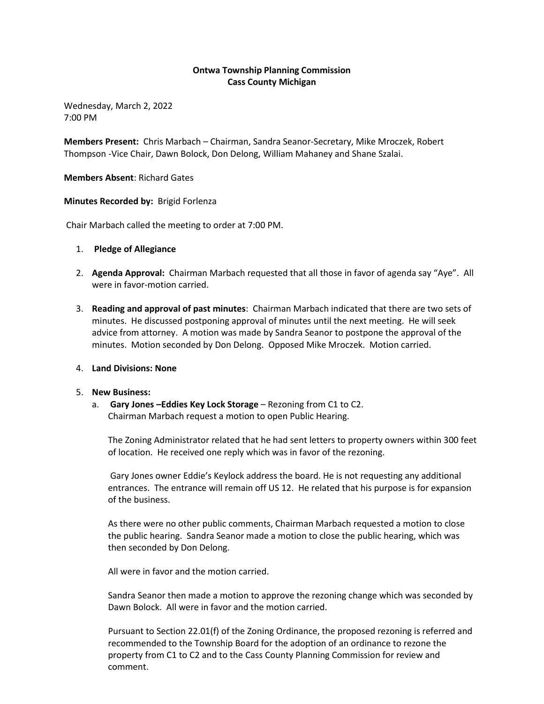# **Ontwa Township Planning Commission Cass County Michigan**

Wednesday, March 2, 2022 7:00 PM

**Members Present:** Chris Marbach – Chairman, Sandra Seanor-Secretary, Mike Mroczek, Robert Thompson -Vice Chair, Dawn Bolock, Don Delong, William Mahaney and Shane Szalai.

**Members Absent**: Richard Gates

### **Minutes Recorded by:** Brigid Forlenza

Chair Marbach called the meeting to order at 7:00 PM.

- 1. **Pledge of Allegiance**
- 2. **Agenda Approval:** Chairman Marbach requested that all those in favor of agenda say "Aye". All were in favor-motion carried.
- 3. **Reading and approval of past minutes**: Chairman Marbach indicated that there are two sets of minutes. He discussed postponing approval of minutes until the next meeting. He will seek advice from attorney. A motion was made by Sandra Seanor to postpone the approval of the minutes. Motion seconded by Don Delong. Opposed Mike Mroczek. Motion carried.

### 4. **Land Divisions: None**

### 5. **New Business:**

a. **Gary Jones –Eddies Key Lock Storage** – Rezoning from C1 to C2. Chairman Marbach request a motion to open Public Hearing.

The Zoning Administrator related that he had sent letters to property owners within 300 feet of location. He received one reply which was in favor of the rezoning.

Gary Jones owner Eddie's Keylock address the board. He is not requesting any additional entrances. The entrance will remain off US 12. He related that his purpose is for expansion of the business.

As there were no other public comments, Chairman Marbach requested a motion to close the public hearing. Sandra Seanor made a motion to close the public hearing, which was then seconded by Don Delong.

All were in favor and the motion carried.

Sandra Seanor then made a motion to approve the rezoning change which was seconded by Dawn Bolock. All were in favor and the motion carried.

Pursuant to Section 22.01(f) of the Zoning Ordinance, the proposed rezoning is referred and recommended to the Township Board for the adoption of an ordinance to rezone the property from C1 to C2 and to the Cass County Planning Commission for review and comment.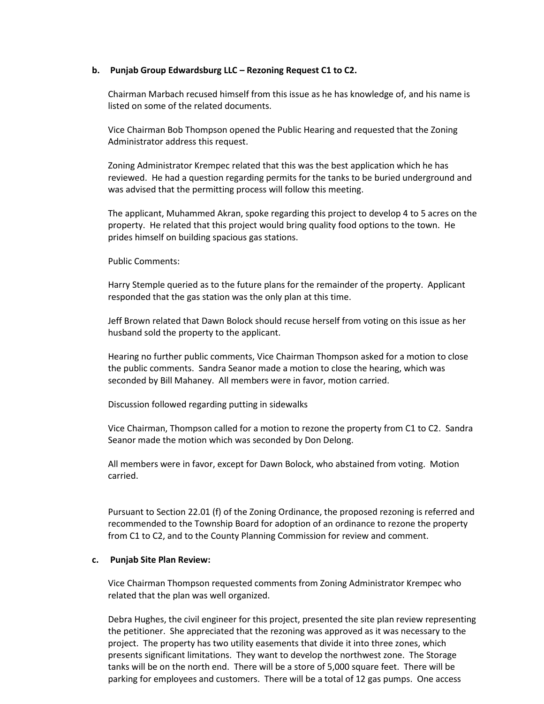### **b. Punjab Group Edwardsburg LLC – Rezoning Request C1 to C2.**

Chairman Marbach recused himself from this issue as he has knowledge of, and his name is listed on some of the related documents.

Vice Chairman Bob Thompson opened the Public Hearing and requested that the Zoning Administrator address this request.

Zoning Administrator Krempec related that this was the best application which he has reviewed. He had a question regarding permits for the tanks to be buried underground and was advised that the permitting process will follow this meeting.

The applicant, Muhammed Akran, spoke regarding this project to develop 4 to 5 acres on the property. He related that this project would bring quality food options to the town. He prides himself on building spacious gas stations.

Public Comments:

Harry Stemple queried as to the future plans for the remainder of the property. Applicant responded that the gas station was the only plan at this time.

Jeff Brown related that Dawn Bolock should recuse herself from voting on this issue as her husband sold the property to the applicant.

Hearing no further public comments, Vice Chairman Thompson asked for a motion to close the public comments. Sandra Seanor made a motion to close the hearing, which was seconded by Bill Mahaney. All members were in favor, motion carried.

Discussion followed regarding putting in sidewalks

Vice Chairman, Thompson called for a motion to rezone the property from C1 to C2. Sandra Seanor made the motion which was seconded by Don Delong.

All members were in favor, except for Dawn Bolock, who abstained from voting. Motion carried.

Pursuant to Section 22.01 (f) of the Zoning Ordinance, the proposed rezoning is referred and recommended to the Township Board for adoption of an ordinance to rezone the property from C1 to C2, and to the County Planning Commission for review and comment.

### **c. Punjab Site Plan Review:**

Vice Chairman Thompson requested comments from Zoning Administrator Krempec who related that the plan was well organized.

Debra Hughes, the civil engineer for this project, presented the site plan review representing the petitioner. She appreciated that the rezoning was approved as it was necessary to the project. The property has two utility easements that divide it into three zones, which presents significant limitations. They want to develop the northwest zone. The Storage tanks will be on the north end. There will be a store of 5,000 square feet. There will be parking for employees and customers. There will be a total of 12 gas pumps. One access